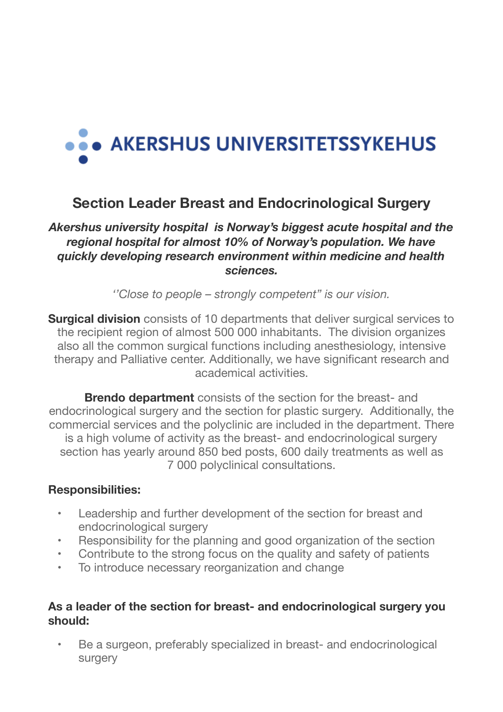# ... AKERSHUS UNIVERSITETSSYKEHUS

# **Section Leader Breast and Endocrinological Surgery**

## *Akershus university hospital is Norway's biggest acute hospital and the regional hospital for almost 10% of Norway's population. We have quickly developing research environment within medicine and health sciences.*

*''Close to people – strongly competent" is our vision.*

**Surgical division** consists of 10 departments that deliver surgical services to the recipient region of almost 500 000 inhabitants. The division organizes also all the common surgical functions including anesthesiology, intensive therapy and Palliative center. Additionally, we have significant research and academical activities.

**Brendo department** consists of the section for the breast- and endocrinological surgery and the section for plastic surgery. Additionally, the commercial services and the polyclinic are included in the department. There is a high volume of activity as the breast- and endocrinological surgery section has yearly around 850 bed posts, 600 daily treatments as well as 7 000 polyclinical consultations.

#### **Responsibilities:**

- Leadership and further development of the section for breast and endocrinological surgery
- Responsibility for the planning and good organization of the section
- Contribute to the strong focus on the quality and safety of patients
- To introduce necessary reorganization and change

#### **As a leader of the section for breast- and endocrinological surgery you should:**

Be a surgeon, preferably specialized in breast- and endocrinological surgery